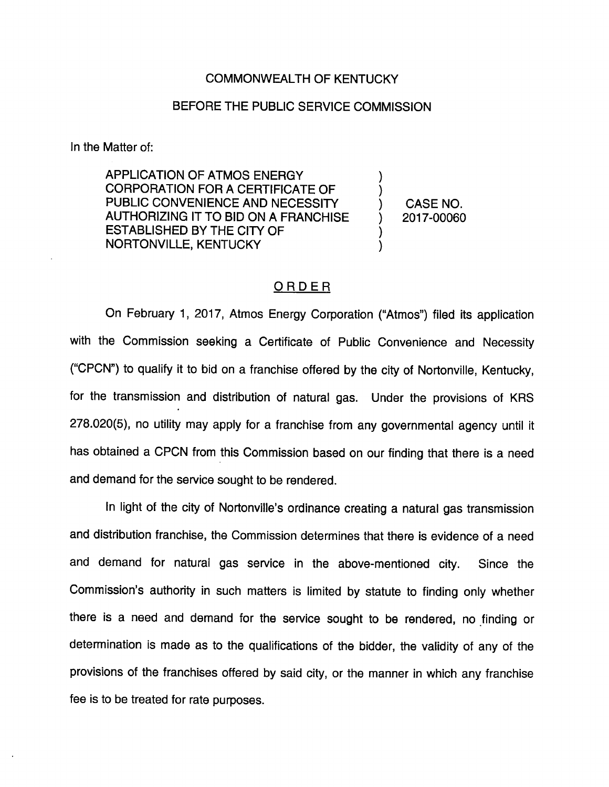## COMMONWEALTH OF KENTUCKY

## BEFORE THE PUBLIC SERVICE COMMISSION

In the Matter of:

APPLICATION OF ATMOS ENERGY CORPORATION FOR A CERTIFICATE OF PUBLIC CONVENIENCE AND NECESSITY AUTHORIZING IT TO BID ON A FRANCHISE ESTABLISHED BY THE CITY OF NORTONVILLE, KENTUCKY

CASE NO. 2017-00060

## ORDER

On February 1, 2017, Atmos Energy Corporation ("Atmos") filed its application with the Commission seeking a Certificate of Public Convenience and Necessity ("CPCN") to qualify it to bid on a franchise offered by the city of Nortonville, Kentucky, for the transmission and distribution of natural gas. Under the provisions of KRS 278.020(5), no utility may apply for a franchise from any governmental agency until it has obtained a CPCN from this Commission based on our finding that there is a need and demand for the service sought to be rendered.

In light of the city of Nortonville's ordinance creating a natural gas transmission and distribution franchise, the Commission determines that there is evidence of a need and demand for natural gas service in the above-mentioned city. Since the Commission's authority in such matters is limited by statute to finding only whether there is a need and demand for the service sought to be rendered, no finding or determination is made as to the qualifications of the bidder, the validity of any of the provisions of the franchises offered by said city, or the manner in which any franchise fee is to be treated for rate purposes.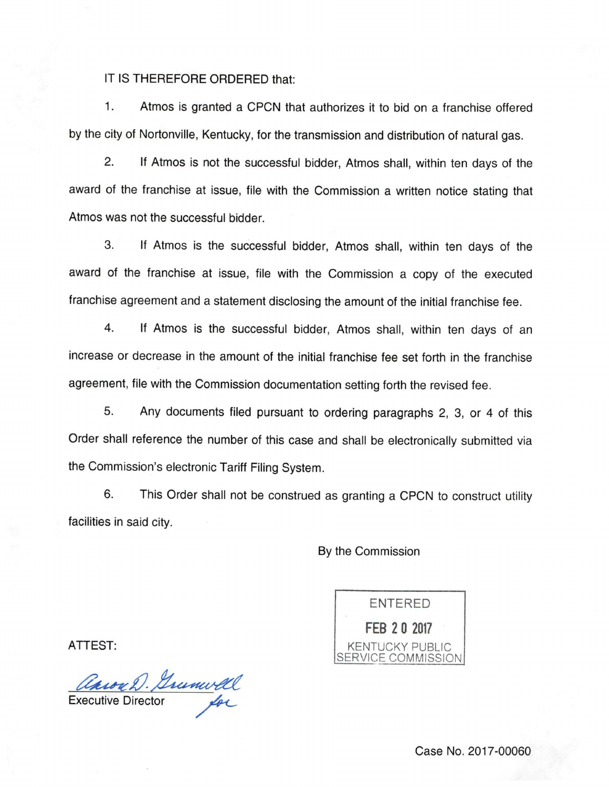## IT IS THEREFORE ORDERED that:

1. Atmos is granted a CPCN that authorizes it to bid on a franchise offered by the city of Nortonville, Kentucky, for the transmission and distribution of natural gas.

2. If Atmos is not the successful bidder, Atmos shall, within ten days of the award of the franchise at issue, file with the Commission a written notice stating that Atmos was not the successful bidder.

3. If Atmos is the successful bidder, Atmos shall, within ten days of the award of the franchise at issue, file with the Commission a copy of the executed franchise agreement and a statement disclosing the amount of the initial franchise fee.

4. If Atmos is the successful bidder, Atmos shall, within ten days of an increase or decrease in the amount of the initial franchise fee set forth in the franchise agreement, file with the Commission documentation setting forth the revised fee.

5. Any documents filed pursuant to ordering paragraphs 2, 3, or 4 of this Order shall reference the number of this case and shall be electronically submitted via the Commission's electronic Tariff Filing System.

6. This Order shall not be construed as granting a CPCN to construct utility facilities in said city.

By the Commission

ENTERED FEB 2 0 2017 KENTUCKY PUBLIC SERVICE COMMISSION

ATTEST:

Caroa D. Grunwell

Case No. 2017-00060